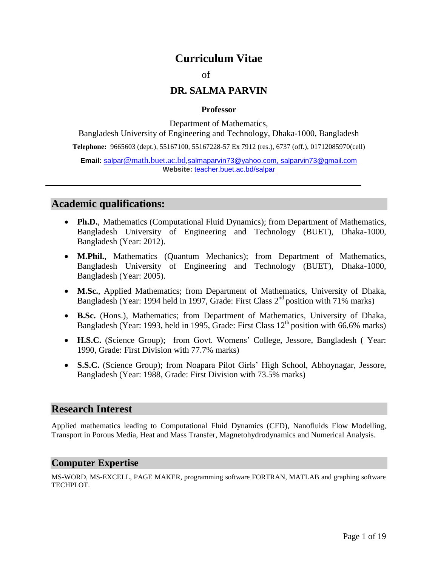# **Curriculum Vitae**

of

### **DR. SALMA PARVIN**

#### **Professor**

Department of Mathematics, Bangladesh University of Engineering and Technology, Dhaka-1000, Bangladesh **Telephone:** 9665603 (dept.), 55167100, 55167228-57 Ex 7912 (res.), 6737 (off.), 01712085970(cell) **Email:** salpar[@math.buet.ac.bd](mailto:salpar@math.buet.ac.bd)[,salmaparvin73@yahoo.com,](mailto:salmaparvin73@yahoo.com) [salparvin73@gmail.com](mailto:salparvin73@gmail.com) **Website:** [teacher.buet.ac.bd/salpar](http://teacher.buet.ac.bd/rehena)

## **Academic qualifications:**

- **Ph.D.**, Mathematics (Computational Fluid Dynamics); from Department of Mathematics, Bangladesh University of Engineering and Technology (BUET), Dhaka-1000, Bangladesh (Year: 2012).
- **M.Phil.**, Mathematics (Quantum Mechanics); from Department of Mathematics, Bangladesh University of Engineering and Technology (BUET), Dhaka-1000, Bangladesh (Year: 2005).
- **M.Sc.**, Applied Mathematics; from Department of Mathematics, University of Dhaka, Bangladesh (Year: 1994 held in 1997, Grade: First Class 2<sup>nd</sup> position with 71% marks)
- **B.Sc.** (Hons.), Mathematics; from Department of Mathematics, University of Dhaka, Bangladesh (Year: 1993, held in 1995, Grade: First Class 12<sup>th</sup> position with 66.6% marks)
- **H.S.C.** (Science Group); from Govt. Womens' College, Jessore, Bangladesh ( Year: 1990, Grade: First Division with 77.7% marks)
- **S.S.C.** (Science Group); from Noapara Pilot Girls' High School, Abhoynagar, Jessore, Bangladesh (Year: 1988, Grade: First Division with 73.5% marks)

### **Research Interest**

Applied mathematics leading to Computational Fluid Dynamics (CFD), Nanofluids Flow Modelling, Transport in Porous Media, Heat and Mass Transfer, Magnetohydrodynamics and Numerical Analysis.

#### **Computer Expertise**

MS-WORD, MS-EXCELL, PAGE MAKER, programming software FORTRAN, MATLAB and graphing software TECHPLOT.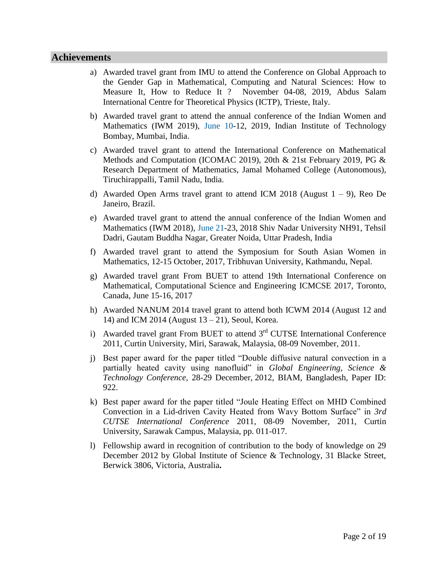#### **Achievements**

- a) Awarded travel grant from IMU to attend the Conference on Global Approach to the Gender Gap in Mathematical, Computing and Natural Sciences: How to Measure It, How to Reduce It ? November 04-08, 2019, Abdus Salam International Centre for Theoretical Physics (ICTP), Trieste, Italy.
- b) Awarded travel grant to attend the annual conference of the Indian Women and Mathematics (IWM 2019), June 10-12, 2019, Indian Institute of Technology Bombay, Mumbai, India.
- c) Awarded travel grant to attend the International Conference on Mathematical Methods and Computation (ICOMAC 2019), 20th & 21st February 2019, PG & Research Department of Mathematics, Jamal Mohamed College (Autonomous), Tiruchirappalli, Tamil Nadu, India.
- d) Awarded Open Arms travel grant to attend ICM 2018 (August  $1 9$ ), Reo De Janeiro, Brazil.
- e) Awarded travel grant to attend the annual conference of the Indian Women and Mathematics (IWM 2018), June 21-23, 2018 Shiv Nadar University NH91, Tehsil Dadri, Gautam Buddha Nagar, Greater Noida, Uttar Pradesh, India
- f) Awarded travel grant to attend the Symposium for South Asian Women in Mathematics, 12-15 October, 2017, Tribhuvan University, Kathmandu, Nepal.
- g) Awarded travel grant From BUET to attend 19th International Conference on Mathematical, Computational Science and Engineering ICMCSE 2017, Toronto, Canada, June 15-16, 2017
- h) Awarded NANUM 2014 travel grant to attend both ICWM 2014 (August 12 and 14) and ICM 2014 (August  $13 - 21$ ), Seoul, Korea.
- i) Awarded travel grant From BUET to attend 3<sup>rd</sup> CUTSE International Conference 2011, Curtin University, Miri, Sarawak, Malaysia, 08-09 November, 2011.
- j) Best paper award for the paper titled "Double diffusive natural convection in a partially heated cavity using nanofluid" in *Global Engineering, Science & Technology Conference,* 28-29 December, 2012, BIAM*,* Bangladesh, Paper ID: 922.
- k) Best paper award for the paper titled "Joule Heating Effect on MHD Combined Convection in a Lid-driven Cavity Heated from Wavy Bottom Surface" in *3rd CUTSE International Conference* 2011, 08-09 November, 2011, Curtin University, Sarawak Campus, Malaysia, pp. 011-017.
- l) Fellowship award in recognition of contribution to the body of knowledge on 29 December 2012 by Global Institute of Science & Technology, 31 Blacke Street, Berwick 3806, Victoria, Australia**.**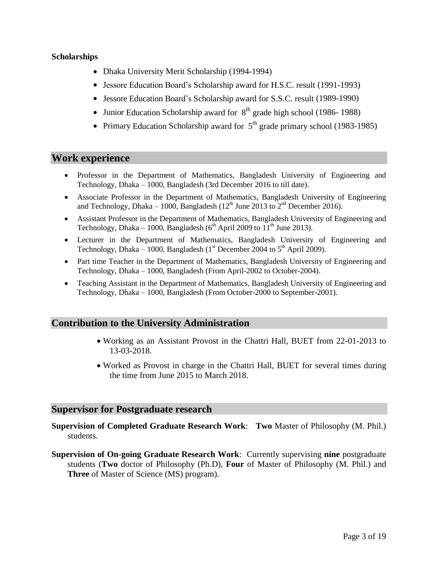#### **Scholarships**

- Dhaka University Merit Scholarship (1994-1994)
- Jessore Education Board's Scholarship award for H.S.C. result (1991-1993)
- Jessore Education Board's Scholarship award for S.S.C. result (1989-1990)
- Junior Education Scholarship award for  $8<sup>th</sup>$  grade high school (1986-1988)
- Primary Education Scholarship award for  $5<sup>th</sup>$  grade primary school (1983-1985)

### **Work experience**

- Professor in the Department of Mathematics, Bangladesh University of Engineering and Technology, Dhaka – 1000, Bangladesh (3rd December 2016 to till date).
- Associate Professor in the Department of Mathematics, Bangladesh University of Engineering and Technology, Dhaka – 1000, Bangladesh ( $12<sup>th</sup>$  June 2013 to  $2<sup>nd</sup>$  December 2016).
- Assistant Professor in the Department of Mathematics, Bangladesh University of Engineering and Technology, Dhaka – 1000, Bangladesh ( $6<sup>th</sup>$  April 2009 to  $11<sup>th</sup>$  June 2013).
- Lecturer in the Department of Mathematics, Bangladesh University of Engineering and Technology, Dhaka – 1000, Bangladesh ( $1<sup>st</sup>$  December 2004 to  $5<sup>th</sup>$  April 2009).
- Part time Teacher in the Department of Mathematics, Bangladesh University of Engineering and Technology, Dhaka – 1000, Bangladesh (From April-2002 to October-2004).
- Teaching Assistant in the Department of Mathematics, Bangladesh University of Engineering and Technology, Dhaka – 1000, Bangladesh (From October-2000 to September-2001).

### **Contribution to the University Administration**

- Working as an Assistant Provost in the Chattri Hall, BUET from 22-01-2013 to 13-03-2018.
- Worked as Provost in charge in the Chattri Hall, BUET for several times during the time from June 2015 to March 2018.

#### **Supervisor for Postgraduate research**

- **Supervision of Completed Graduate Research Work**: **Two** Master of Philosophy (M. Phil.) students.
- **Supervision of On-going Graduate Research Work**: Currently supervising **nine** postgraduate students (**Two** doctor of Philosophy (Ph.D), **Four** of Master of Philosophy (M. Phil.) and **Three** of Master of Science (MS) program).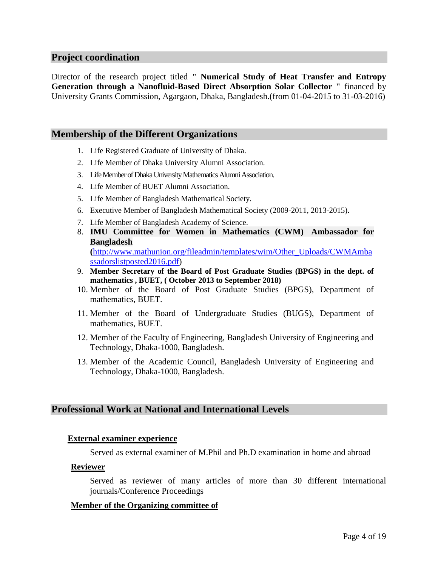#### **Project coordination**

Director of the research project titled **" Numerical Study of Heat Transfer and Entropy Generation through a Nanofluid-Based Direct Absorption Solar Collector "** financed by University Grants Commission, Agargaon, Dhaka, Bangladesh.(from 01-04-2015 to 31-03-2016)

#### **Membership of the Different Organizations**

- 1. Life Registered Graduate of University of Dhaka.
- 2. Life Member of Dhaka University Alumni Association.
- 3. Life Member of Dhaka University Mathematics Alumni Association.
- 4. Life Member of BUET Alumni Association.
- 5. Life Member of Bangladesh Mathematical Society.
- 6. Executive Member of Bangladesh Mathematical Society (2009-2011, 2013-2015)**.**
- 7. Life Member of Bangladesh Academy of Science.
- 8. **IMU Committee for Women in Mathematics (CWM) Ambassador for Bangladesh (**[http://www.mathunion.org/fileadmin/templates/wim/Other\\_Uploads/CWMAmba](http://www.mathunion.org/fileadmin/templates/wim/Other_Uploads/CWMAmbassadorslistposted2016.pdf) [ssadorslistposted2016.pdf\)](http://www.mathunion.org/fileadmin/templates/wim/Other_Uploads/CWMAmbassadorslistposted2016.pdf)
- 9. **Member Secretary of the Board of Post Graduate Studies (BPGS) in the dept. of mathematics , BUET, ( October 2013 to September 2018)**
- 10. Member of the Board of Post Graduate Studies (BPGS), Department of mathematics, BUET.
- 11. Member of the Board of Undergraduate Studies (BUGS), Department of mathematics, BUET.
- 12. Member of the Faculty of Engineering, Bangladesh University of Engineering and Technology, Dhaka-1000, Bangladesh.
- 13. Member of the Academic Council, Bangladesh University of Engineering and Technology, Dhaka-1000, Bangladesh.

### **Professional Work at National and International Levels**

#### **External examiner experience**

Served as external examiner of M.Phil and Ph.D examination in home and abroad

#### **Reviewer**

Served as reviewer of many articles of more than 30 different international journals/Conference Proceedings

#### **Member of the Organizing committee of**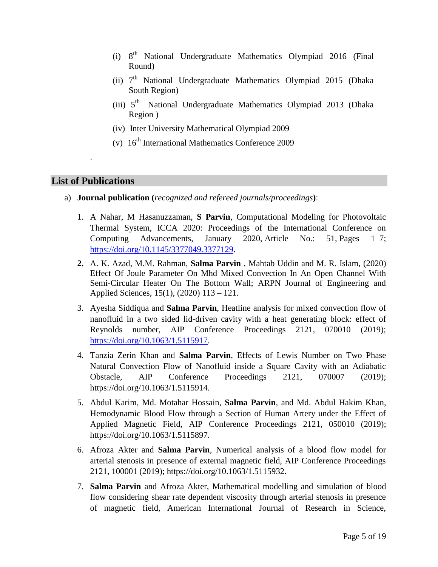- (i) 8<sup>th</sup> National Undergraduate Mathematics Olympiad 2016 (Final Round)
- (ii) 7<sup>th</sup> National Undergraduate Mathematics Olympiad 2015 (Dhaka South Region)
- (iii) 5<sup>th</sup> National Undergraduate Mathematics Olympiad 2013 (Dhaka Region )
- (iv) Inter University Mathematical Olympiad 2009
- (v)  $16<sup>th</sup>$  [International Mathematics Conference](http://www.buet.ac.bd/math/mathconf09/) 2009

### **List of Publications**

.

- a) **Journal publication (***recognized and refereed journals/proceedings***)**:
	- 1. A Nahar, M Hasanuzzaman, **S Parvin**, Computational Modeling for Photovoltaic Thermal System, [ICCA 2020: Proceedings of the International Conference on](https://dl.acm.org/doi/proceedings/10.1145/3377049)  [Computing Advancements,](https://dl.acm.org/doi/proceedings/10.1145/3377049) January 2020, Article No.: 51, Pages 1–7; [https://doi.org/10.1145/3377049.3377129.](https://doi.org/10.1145/3377049.3377129)
	- **2.** A. K. Azad, M.M. Rahman, **Salma Parvin** , Mahtab Uddin and M. R. Islam, (2020) Effect Of Joule Parameter On Mhd Mixed Convection In An Open Channel With Semi-Circular Heater On The Bottom Wall; ARPN Journal of Engineering and Applied Sciences, 15(1), (2020) 113 – 121.
	- 3. Ayesha Siddiqua and **Salma Parvin**, Heatline analysis for mixed convection flow of nanofluid in a two sided lid-driven cavity with a heat generating block: effect of Reynolds number, AIP Conference Proceedings 2121, 070010 (2019); [https://doi.org/10.1063/1.5115917.](https://doi.org/10.1063/1.5115917)
	- 4. Tanzia Zerin Khan and **Salma Parvin**, Effects of Lewis Number on Two Phase Natural Convection Flow of Nanofluid inside a Square Cavity with an Adiabatic Obstacle, AIP Conference Proceedings 2121, 070007 (2019); https://doi.org/10.1063/1.5115914.
	- 5. Abdul Karim, Md. Motahar Hossain, **Salma Parvin**, and Md. Abdul Hakim Khan, Hemodynamic Blood Flow through a Section of Human Artery under the Effect of Applied Magnetic Field, AIP Conference Proceedings 2121, 050010 (2019); https://doi.org/10.1063/1.5115897.
	- 6. Afroza Akter and **Salma Parvin**, Numerical analysis of a blood flow model for arterial stenosis in presence of external magnetic field, AIP Conference Proceedings 2121, 100001 (2019); https://doi.org/10.1063/1.5115932.
	- 7. **Salma Parvin** and Afroza Akter, Mathematical modelling and simulation of blood flow considering shear rate dependent viscosity through arterial stenosis in presence of magnetic field, American International Journal of Research in Science,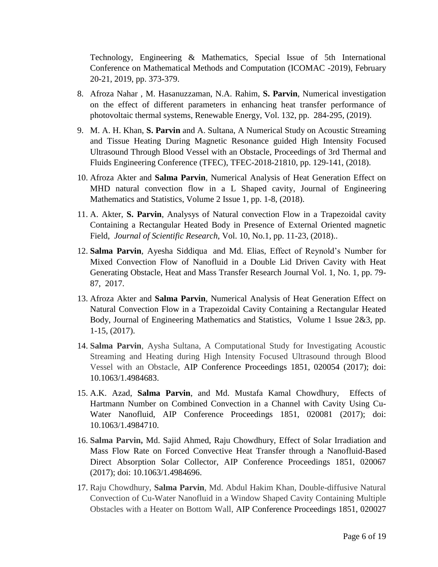Technology, Engineering & Mathematics, Special Issue of 5th International Conference on Mathematical Methods and Computation (ICOMAC -2019), February 20-21, 2019, pp. 373-379.

- 8. Afroza Nahar , M. Hasanuzzaman, N.A. Rahim, **S. Parvin**, Numerical investigation on the effect of different parameters in enhancing heat transfer performance of photovoltaic thermal systems, Renewable Energy, Vol. 132, pp. 284-295, (2019).
- 9. M. A. H. Khan, **S. Parvin** and A. Sultana, A Numerical Study on Acoustic Streaming and Tissue Heating During Magnetic Resonance guided High Intensity Focused Ultrasound Through Blood Vessel with an Obstacle, Proceedings of 3rd Thermal and Fluids Engineering Conference (TFEC), TFEC-2018-21810, pp. 129-141, (2018).
- 10. Afroza Akter and **Salma Parvin**, Numerical Analysis of Heat Generation Effect on MHD natural convection flow in a L Shaped cavity, Journal of Engineering Mathematics and Statistics, Volume 2 Issue 1, pp. 1-8, (2018).
- 11. A. Akter, **S. Parvin**, Analysys of Natural convection Flow in a Trapezoidal cavity Containing a Rectangular Heated Body in Presence of External Oriented magnetic Field, *Journal of Scientific Research*, Vol. 10, No.1, pp. 11-23, (2018)..
- 12. **Salma Parvin**, Ayesha Siddiqua and Md. Elias, Effect of Reynold's Number for Mixed Convection Flow of Nanofluid in a Double Lid Driven Cavity with Heat Generating Obstacle, Heat and Mass Transfer Research Journal Vol. 1, No. 1, pp. 79- 87, 2017.
- 13. Afroza Akter and **Salma Parvin**, Numerical Analysis of Heat Generation Effect on Natural Convection Flow in a Trapezoidal Cavity Containing a Rectangular Heated Body, Journal of Engineering Mathematics and Statistics, Volume 1 Issue 2&3, pp. 1-15, (2017).
- 14. **Salma Parvin**, Aysha Sultana, A Computational Study for Investigating Acoustic Streaming and Heating during High Intensity Focused Ultrasound through Blood Vessel with an Obstacle, AIP Conference Proceedings 1851, 020054 (2017); doi: 10.1063/1.4984683.
- 15. A.K. Azad, **Salma Parvin**, and Md. Mustafa Kamal Chowdhury, Effects of Hartmann Number on Combined Convection in a Channel with Cavity Using Cu-Water Nanofluid, AIP Conference Proceedings 1851, 020081 (2017); doi: 10.1063/1.4984710.
- 16. **Salma Parvin,** Md. Sajid Ahmed, Raju Chowdhury, Effect of Solar Irradiation and Mass Flow Rate on Forced Convective Heat Transfer through a Nanofluid-Based Direct Absorption Solar Collector, AIP Conference Proceedings 1851, 020067 (2017); doi: 10.1063/1.4984696.
- 17. Raju Chowdhury, **Salma Parvin**, Md. Abdul Hakim Khan, Double-diffusive Natural Convection of Cu-Water Nanofluid in a Window Shaped Cavity Containing Multiple Obstacles with a Heater on Bottom Wall, AIP Conference Proceedings 1851, 020027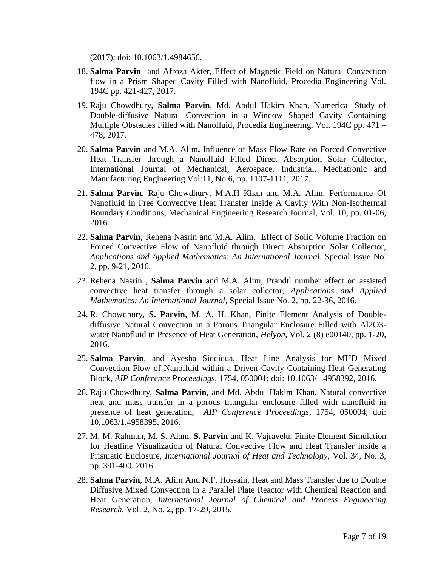(2017); doi: 10.1063/1.4984656.

- 18. **Salma Parvin** and Afroza Akter, Effect of Magnetic Field on Natural Convection flow in a Prism Shaped Cavity Filled with Nanofluid, Procedia Engineering Vol. 194C pp. 421-427, 2017.
- 19. Raju Chowdhury, **Salma Parvin**, Md. Abdul Hakim Khan, Numerical Study of Double-diffusive Natural Convection in a Window Shaped Cavity Containing Multiple Obstacles Filled with Nanofluid, Procedia Engineering, Vol. 194C pp. 471 – 478, 2017.
- 20. **Salma Parvin** and M.A. Alim**,** Influence of Mass Flow Rate on Forced Convective Heat Transfer through a Nanofluid Filled Direct Absorption Solar Collector**,**  International Journal of Mechanical, Aerospace, Industrial, Mechatronic and Manufacturing Engineering Vol:11, No:6, pp. 1107-1111, 2017.
- 21. **Salma Parvin**, Raju Chowdhury, M.A.H Khan and M.A. Alim, Performance Of Nanofluid In Free Convective Heat Transfer Inside A Cavity With Non-Isothermal Boundary Conditions, Mechanical Engineering Research Journal, Vol. 10, pp. 01-06, 2016.
- 22. **Salma Parvin**, Rehena Nasrin and M.A. Alim, Effect of Solid Volume Fraction on Forced Convective Flow of Nanofluid through Direct Absorption Solar Collector, *Applications and Applied Mathematics: An International Journal*, Special Issue No. 2, pp. 9-21, 2016.
- 23. Rehena Nasrin , **Salma Parvin** and M.A. Alim, Prandtl number effect on assisted convective heat transfer through a solar collector, *Applications and Applied Mathematics: An International Journal*, Special Issue No. 2, pp. 22-36, 2016.
- 24. R. Chowdhury, **S. Parvin**, M. A. H. Khan, Finite Element Analysis of Doublediffusive Natural Convection in a Porous Triangular Enclosure Filled with Al2O3 water Nanofluid in Presence of Heat Generation, *Helyon*, Vol. 2 (8) e00140, pp. 1-20, 2016.
- 25. **Salma Parvin**, and Ayesha Siddiqua, Heat Line Analysis for MHD Mixed Convection Flow of Nanofluid within a Driven Cavity Containing Heat Generating Block, *AIP Conference Proceedings*, 1754, 050001; doi: 10.1063/1.4958392, 2016.
- 26. Raju Chowdhury, **Salma Parvin**, and Md. Abdul Hakim Khan, Natural convective heat and mass transfer in a porous triangular enclosure filled with nanofluid in presence of heat generation, *AIP Conference Proceedings*, 1754, 050004; doi: 10.1063/1.4958395, 2016.
- 27. M. M. Rahman, M. S. Alam, **S. Parvin** and K. Vajravelu, Finite Element Simulation for Heatline Visualization of Natural Convective Flow and Heat Transfer inside a Prismatic Enclosure, *International Journal of Heat and Technology*, Vol. 34, No. 3, pp. 391-400, 2016.
- 28. **Salma Parvin**, M.A. Alim And N.F. Hossain, Heat and Mass Transfer due to Double Diffusive Mixed Convection in a Parallel Plate Reactor with Chemical Reaction and Heat Generation, *International Journal of Chemical and Process Engineering Research*, Vol. 2, No. 2, pp. 17-29, 2015.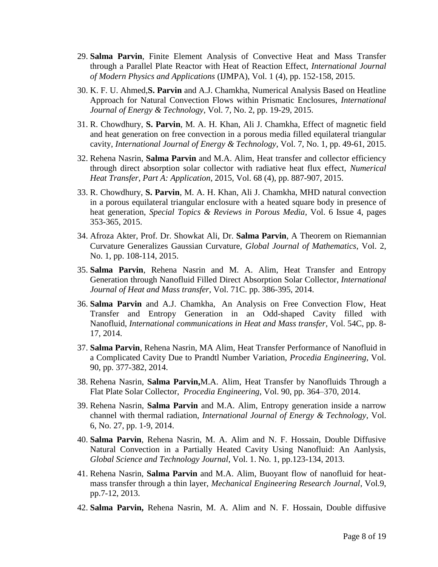- 29. **Salma Parvin**, Finite Element Analysis of Convective Heat and Mass Transfer through a Parallel Plate Reactor with Heat of Reaction Effect, *International Journal of Modern Physics and Applications* (IJMPA), Vol. 1 (4), pp. 152-158, 2015.
- 30. K. F. U. Ahmed,**S. Parvin** and A.J. Chamkha, Numerical Analysis Based on Heatline Approach for Natural Convection Flows within Prismatic Enclosures, *International Journal of Energy & Technology*, Vol. 7, No. 2, pp. 19-29, 2015.
- 31. R. Chowdhury, **S. Parvin**, M. A. H. Khan, Ali J. Chamkha, Effect of magnetic field and heat generation on free convection in a porous media filled equilateral triangular cavity, *International Journal of Energy & Technology*, Vol. 7, No. 1, pp. 49-61, 2015.
- 32. Rehena Nasrin, **Salma Parvin** and M.A. Alim, Heat transfer and collector efficiency through direct absorption solar collector with radiative heat flux effect, *Numerical Heat Transfer, Part A: Application*, 2015, Vol. 68 (4), pp. 887-907, 2015.
- 33. R. Chowdhury, **S. Parvin**, M. A. H. Khan, Ali J. Chamkha, MHD natural convection in a porous equilateral triangular enclosure with a heated square body in presence of heat generation, *Special Topics & Reviews in Porous Media*, Vol. 6 Issue 4, pages 353-365, 2015.
- 34. Afroza Akter, Prof. Dr. Showkat Ali, Dr. **Salma Parvin**, A Theorem on Riemannian Curvature Generalizes Gaussian Curvature, *Global Journal of Mathematics*, Vol. 2, No. 1, pp. 108-114, 2015.
- 35. **Salma Parvin**, Rehena Nasrin and M. A. Alim, Heat Transfer and Entropy Generation through Nanofluid Filled Direct Absorption Solar Collector, *International Journal of Heat and Mass transfer*, Vol. 71C. pp. 386-395, 2014.
- 36. **Salma Parvin** and A.J. Chamkha, An Analysis on Free Convection Flow, Heat Transfer and Entropy Generation in an Odd-shaped Cavity filled with Nanofluid, *International communications in Heat and Mass transfer,* Vol. 54C, pp. 8- 17, 2014.
- 37. **Salma Parvin**, Rehena Nasrin, MA Alim, Heat Transfer Performance of Nanofluid in a Complicated Cavity Due to Prandtl Number Variation, *Procedia Engineering*, Vol. 90, pp. 377-382, 2014.
- 38. Rehena Nasrin, **[Salma Parvin,](http://www.sciencedirect.com/science/article/pii/S1877705814030008)**[M.A. Alim,](http://www.sciencedirect.com/science/article/pii/S1877705814030008) Heat Transfer by Nanofluids Through a Flat Plate Solar Collector, *Procedia Engineering*, Vol. 90, pp. 364–370, 2014.
- 39. Rehena Nasrin, **Salma Parvin** and M.A. Alim, Entropy generation inside a narrow channel with thermal radiation, *International Journal of Energy & Technology*, Vol. 6, No. 27, pp. 1-9, 2014.
- 40. **Salma Parvin**, Rehena Nasrin, M. A. Alim and N. F. Hossain, Double Diffusive Natural Convection in a Partially Heated Cavity Using Nanofluid: An Aanlysis, *Global Science and Technology Journal*, Vol. 1. No. 1, pp.123-134, 2013.
- 41. Rehena Nasrin, **Salma Parvin** and M.A. Alim, Buoyant flow of nanofluid for heatmass transfer through a thin layer, *Mechanical Engineering Research Journal*, Vol.9, pp.7-12, 2013.
- 42. **Salma Parvin,** Rehena Nasrin, M. A. Alim and N. F. Hossain, Double diffusive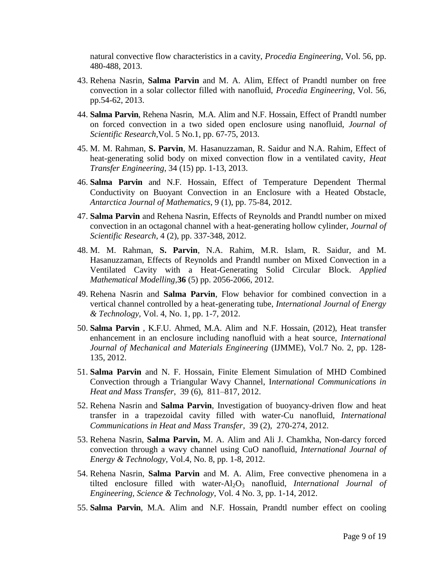natural convective flow characteristics in a cavity, *Procedia Engineering*, Vol. 56, pp. 480-488, 2013.

- 43. Rehena Nasrin, **Salma Parvin** and M. A. Alim, Effect of Prandtl number on free convection in a solar collector filled with nanofluid, *Procedia Engineering*, Vol. 56, pp.54-62, 2013.
- 44. **Salma Parvin**, Rehena Nasrin, M.A. Alim and N.F. Hossain, Effect of Prandtl number on forced convection in a two sided open enclosure using nanofluid, *Journal of Scientific Research*,Vol. 5 No.1*,* pp. 67-75, 2013.
- 45. M. M. Rahman, **S. Parvin**, M. Hasanuzzaman, R. Saidur and N.A. Rahim, Effect of heat-generating solid body on mixed convection flow in a ventilated cavity, *Heat Transfer Engineering*, 34 (15) pp. 1-13, 2013.
- 46. **Salma Parvin** and N.F. Hossain, Effect of Temperature Dependent Thermal Conductivity on Buoyant Convection in an Enclosure with a Heated Obstacle, *Antarctica Journal of Mathematics*, 9 (1), pp. 75-84, 2012.
- 47. **Salma Parvin** and Rehena Nasrin, Effects of Reynolds and Prandtl number on mixed convection in an octagonal channel with a heat-generating hollow cylinder, *Journal of Scientific Research*, 4 (2), pp. 337-348, 2012.
- 48. M. M. Rahman, **S. Parvin**, N.A. Rahim, M.R. Islam, R. Saidur, and M. Hasanuzzaman, Effects of Reynolds and Prandtl number on Mixed Convection in a Ventilated Cavity with a Heat-Generating Solid Circular Block. *Applied Mathematical Modelling,***36** (5) pp. 2056-2066, 2012.
- 49. Rehena Nasrin and **Salma Parvin**, Flow behavior for combined convection in a vertical channel controlled by a heat-generating tube, *International Journal of Energy & Technology,* Vol. 4, No. 1, pp. 1-7, 2012.
- 50. **Salma Parvin** , K.F.U. Ahmed, M.A. Alim and N.F. Hossain, (2012), Heat transfer enhancement in an enclosure including nanofluid with a heat source, *International Journal of Mechanical and Materials Engineering* (IJMME), Vol.7 No. 2, pp. 128- 135, 2012.
- 51. **Salma Parvin** and N. F. Hossain, Finite Element Simulation of MHD Combined Convection through a Triangular Wavy Channel, I*nternational Communications in Heat and Mass Transfer*, 39 (6), 811–817, 2012.
- 52. Rehena Nasrin and **Salma Parvin**, Investigation of buoyancy-driven flow and heat transfer in a trapezoidal cavity filled with water-Cu nanofluid, *International Communications in Heat and Mass Transfer*, 39 (2), 270-274, 2012.
- 53. Rehena Nasrin, **Salma Parvin,** M. A. Alim and Ali J. Chamkha, Non-darcy forced convection through a wavy channel using CuO nanofluid, *International Journal of Energy & Technology,* Vol.4, No. 8, pp. 1-8, 2012.
- 54. Rehena Nasrin, **Salma Parvin** and M. A. Alim, Free convective phenomena in a tilted enclosure filled with water-Al<sub>2</sub>O<sub>3</sub> nanofluid, *International Journal of Engineering, Science & Technology*, Vol. 4 No. 3, pp. 1-14, 2012.
- 55. **Salma Parvin**, M.A. Alim and N.F. Hossain, Prandtl number effect on cooling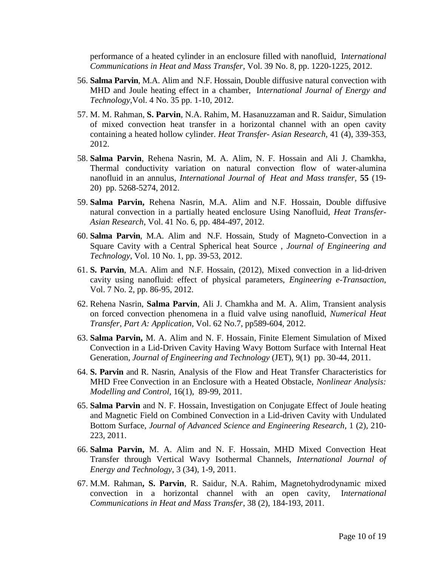performance of a heated cylinder in an enclosure filled with nanofluid, I*nternational Communications in Heat and Mass Transfer*, Vol. 39 No. 8, pp. 1220-1225, 2012.

- 56. **Salma Parvin**, M.A. Alim and N.F. Hossain, Double diffusive natural convection with MHD and Joule heating effect in a chamber, I*nternational Journal of Energy and Technology*,Vol. 4 No. 35 pp. 1-10, 2012.
- 57. M. M. Rahman, **S. Parvin**, N.A. Rahim, M. Hasanuzzaman and R. Saidur, Simulation of mixed convection heat transfer in a horizontal channel with an open cavity containing a heated hollow cylinder. *Heat Transfer- Asian Research*, 41 (4), 339-353, 2012.
- 58. **Salma Parvin**, Rehena Nasrin, M. A. Alim, N. F. Hossain and Ali J. Chamkha, Thermal conductivity variation on natural convection flow of water-alumina nanofluid in an annulus, *International Journal of Heat and Mass transfer,* **55** (19- 20) pp. 5268-5274, 2012.
- 59. **Salma Parvin,** Rehena Nasrin, M.A. Alim and N.F. Hossain, Double diffusive natural convection in a partially heated enclosure Using Nanofluid, *Heat Transfer-Asian Research*, Vol. 41 No. 6, pp. 484-497, 2012.
- 60. **Salma Parvin**, M.A. Alim and N.F. Hossain, Study of Magneto-Convection in a Square Cavity with a Central Spherical heat Source , *Journal of Engineering and Technology*, Vol. 10 No. 1, pp. 39-53, 2012.
- 61. **S. Parvin**, M.A. Alim and N.F. Hossain, (2012), Mixed convection in a lid-driven cavity using nanofluid: effect of physical parameters, *Engineering e-Transaction*, Vol. 7 No. 2, pp. 86-95, 2012.
- 62. Rehena Nasrin, **Salma Parvin**, Ali J. Chamkha and M. A. Alim, Transient analysis on forced convection phenomena in a fluid valve using nanofluid, *Numerical Heat Transfer, Part A: Application*, Vol. 62 No.7, pp589-604, 2012.
- 63. **Salma Parvin,** M. A. Alim and N. F. Hossain, Finite Element Simulation of Mixed Convection in a Lid-Driven Cavity Having Wavy Bottom Surface with Internal Heat Generation, *Journal of Engineering and Technology* (JET), 9(1) pp. 30-44, 2011.
- 64. **S. Parvin** and R. Nasrin, Analysis of the Flow and Heat Transfer Characteristics for MHD Free Convection in an Enclosure with a Heated Obstacle, *Nonlinear Analysis: Modelling and Control,* 16(1), 89-99, 2011.
- 65. **Salma Parvin** and N. F. Hossain, Investigation on Conjugate Effect of Joule heating and Magnetic Field on Combined Convection in a Lid-driven Cavity with Undulated Bottom Surface, *Journal of Advanced Science and Engineering Research,* 1 (2), 210- 223, 2011.
- 66. **Salma Parvin,** M. A. Alim and N. F. Hossain, MHD Mixed Convection Heat Transfer through Vertical Wavy Isothermal Channels, *International Journal of Energy and Technology*, 3 (34), 1-9, 2011.
- 67. M.M. Rahman**, S. Parvin**, R. Saidur, N.A. Rahim, Magnetohydrodynamic mixed convection in a horizontal channel with an open cavity, I*nternational Communications in Heat and Mass Transfer*, 38 (2), 184-193, 2011.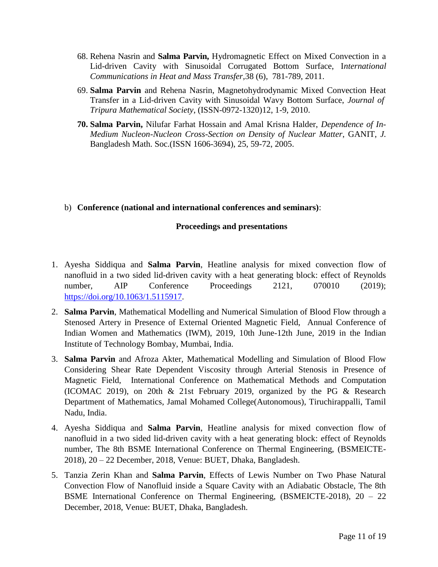- 68. Rehena Nasrin and **Salma Parvin,** Hydromagnetic Effect on Mixed Convection in a Lid-driven Cavity with Sinusoidal Corrugated Bottom Surface, I*nternational Communications in Heat and Mass Transfer,*38 (6), 781-789, 2011.
- 69. **Salma Parvin** and Rehena Nasrin, Magnetohydrodynamic Mixed Convection Heat Transfer in a Lid-driven Cavity with Sinusoidal Wavy Bottom Surface, *Journal of Tripura Mathematical Society*, (ISSN-0972-1320)12, 1-9, 2010.
- **70. Salma Parvin,** Nilufar Farhat Hossain and Amal Krisna Halder, *Dependence of In-Medium Nucleon-Nucleon Cross-Section on Density of Nuclear Matter*, GANIT, *J.*  Bangladesh Math. Soc.(ISSN 1606-3694), 25, 59-72, 2005.

#### b) **Conference (national and international conferences and seminars)**:

#### **Proceedings and presentations**

- 1. Ayesha Siddiqua and **Salma Parvin**, Heatline analysis for mixed convection flow of nanofluid in a two sided lid-driven cavity with a heat generating block: effect of Reynolds number, AIP Conference Proceedings 2121, 070010 (2019); [https://doi.org/10.1063/1.5115917.](https://doi.org/10.1063/1.5115917)
- 2. **Salma Parvin**, Mathematical Modelling and Numerical Simulation of Blood Flow through a Stenosed Artery in Presence of External Oriented Magnetic Field, Annual Conference of Indian Women and Mathematics (IWM), 2019, 10th June-12th June, 2019 in the Indian Institute of Technology Bombay, Mumbai, India.
- 3. **Salma Parvin** and Afroza Akter, Mathematical Modelling and Simulation of Blood Flow Considering Shear Rate Dependent Viscosity through Arterial Stenosis in Presence of Magnetic Field, International Conference on Mathematical Methods and Computation (ICOMAC 2019), on 20th & 21st February 2019, organized by the PG & Research Department of Mathematics, Jamal Mohamed College(Autonomous), Tiruchirappalli, Tamil Nadu, India.
- 4. Ayesha Siddiqua and **Salma Parvin**, Heatline analysis for mixed convection flow of nanofluid in a two sided lid-driven cavity with a heat generating block: effect of Reynolds number, The 8th BSME International Conference on Thermal Engineering, (BSMEICTE-2018), 20 – 22 December, 2018, Venue: BUET, Dhaka, Bangladesh.
- 5. Tanzia Zerin Khan and **Salma Parvin**, Effects of Lewis Number on Two Phase Natural Convection Flow of Nanofluid inside a Square Cavity with an Adiabatic Obstacle, The 8th BSME International Conference on Thermal Engineering, (BSMEICTE-2018), 20 – 22 December, 2018, Venue: BUET, Dhaka, Bangladesh.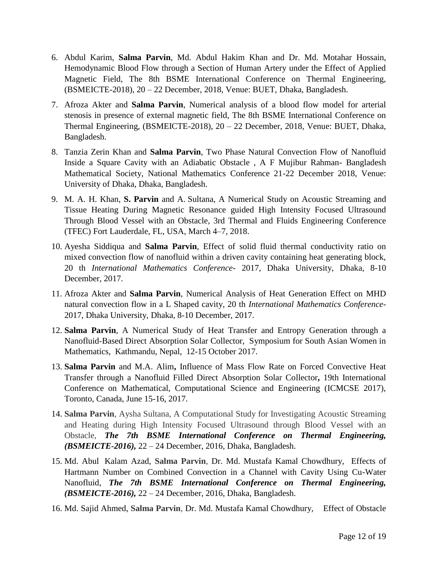- 6. Abdul Karim, **Salma Parvin**, Md. Abdul Hakim Khan and Dr. Md. Motahar Hossain, Hemodynamic Blood Flow through a Section of Human Artery under the Effect of Applied Magnetic Field, The 8th BSME International Conference on Thermal Engineering, (BSMEICTE-2018), 20 – 22 December, 2018, Venue: BUET, Dhaka, Bangladesh.
- 7. Afroza Akter and **Salma Parvin**, Numerical analysis of a blood flow model for arterial stenosis in presence of external magnetic field, The 8th BSME International Conference on Thermal Engineering, (BSMEICTE-2018), 20 – 22 December, 2018, Venue: BUET, Dhaka, Bangladesh.
- 8. Tanzia Zerin Khan and **Salma Parvin**, Two Phase Natural Convection Flow of Nanofluid Inside a Square Cavity with an Adiabatic Obstacle , A F Mujibur Rahman- Bangladesh Mathematical Society, National Mathematics Conference 21-22 December 2018, Venue: University of Dhaka, Dhaka, Bangladesh.
- 9. M. A. H. Khan, **S. Parvin** and A. Sultana, A Numerical Study on Acoustic Streaming and Tissue Heating During Magnetic Resonance guided High Intensity Focused Ultrasound Through Blood Vessel with an Obstacle, 3rd Thermal and Fluids Engineering Conference (TFEC) Fort Lauderdale, FL, USA, March 4–7, 2018.
- 10. Ayesha Siddiqua and **Salma Parvin**, Effect of solid fluid thermal conductivity ratio on mixed convection flow of nanofluid within a driven cavity containing heat generating block, 20 th *International Mathematics Conference-* 2017, Dhaka University, Dhaka, 8-10 December, 2017.
- 11. Afroza Akter and **Salma Parvin**, Numerical Analysis of Heat Generation Effect on MHD natural convection flow in a L Shaped cavity, 20 th *International Mathematics Conference-*2017, Dhaka University, Dhaka, 8-10 December, 2017.
- 12. **Salma Parvin**, A Numerical Study of Heat Transfer and Entropy Generation through a Nanofluid-Based Direct Absorption Solar Collector, Symposium for South Asian Women in Mathematics, Kathmandu, Nepal, 12-15 October 2017.
- 13. **Salma Parvin** and M.A. Alim**,** Influence of Mass Flow Rate on Forced Convective Heat Transfer through a Nanofluid Filled Direct Absorption Solar Collector**,** 19th International Conference on Mathematical, Computational Science and Engineering (ICMCSE 2017), Toronto, Canada, June 15-16, 2017.
- 14. **Salma Parvin**, Aysha Sultana, A Computational Study for Investigating Acoustic Streaming and Heating during High Intensity Focused Ultrasound through Blood Vessel with an Obstacle, *The 7th BSME International Conference on Thermal Engineering, (BSMEICTE-2016),* 22 – 24 December, 2016, Dhaka, Bangladesh.
- 15. Md. Abul Kalam Azad, **Salma Parvin**, Dr. Md. Mustafa Kamal Chowdhury, Effects of Hartmann Number on Combined Convection in a Channel with Cavity Using Cu-Water Nanofluid, *The 7th BSME International Conference on Thermal Engineering, (BSMEICTE-2016),* 22 – 24 December, 2016, Dhaka, Bangladesh.
- 16. Md. Sajid Ahmed, **Salma Parvin**, Dr. Md. Mustafa Kamal Chowdhury, Effect of Obstacle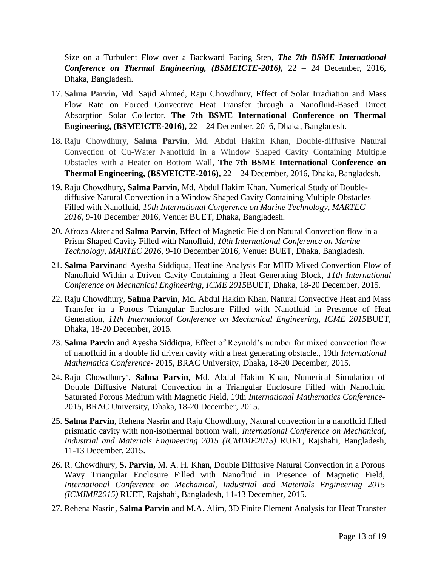Size on a Turbulent Flow over a Backward Facing Step, *The 7th BSME International Conference on Thermal Engineering, (BSMEICTE-2016),* 22 – 24 December, 2016, Dhaka, Bangladesh.

- 17. **Salma Parvin,** Md. Sajid Ahmed, Raju Chowdhury, Effect of Solar Irradiation and Mass Flow Rate on Forced Convective Heat Transfer through a Nanofluid-Based Direct Absorption Solar Collector, **The 7th BSME International Conference on Thermal Engineering, (BSMEICTE-2016),** 22 – 24 December, 2016, Dhaka, Bangladesh.
- 18. Raju Chowdhury, **Salma Parvin**, Md. Abdul Hakim Khan, Double-diffusive Natural Convection of Cu-Water Nanofluid in a Window Shaped Cavity Containing Multiple Obstacles with a Heater on Bottom Wall, **The 7th BSME International Conference on Thermal Engineering, (BSMEICTE-2016),** 22 – 24 December, 2016, Dhaka, Bangladesh.
- 19. Raju Chowdhury, **Salma Parvin**, Md. Abdul Hakim Khan, Numerical Study of Doublediffusive Natural Convection in a Window Shaped Cavity Containing Multiple Obstacles Filled with Nanofluid, *10th International Conference on Marine Technology, MARTEC 2016,* 9-10 December 2016, Venue: BUET, Dhaka, Bangladesh.
- 20. Afroza Akter and **Salma Parvin**, Effect of Magnetic Field on Natural Convection flow in a Prism Shaped Cavity Filled with Nanofluid, *10th International Conference on Marine Technology, MARTEC 2016*, 9-10 December 2016, Venue: BUET, Dhaka, Bangladesh.
- 21. **Salma Parvin**and Ayesha Siddiqua, Heatline Analysis For MHD Mixed Convection Flow of Nanofluid Within a Driven Cavity Containing a Heat Generating Block, *11th International Conference on Mechanical Engineering, ICME 2015*BUET, Dhaka, 18-20 December, 2015.
- 22. Raju Chowdhury, **Salma Parvin**, Md. Abdul Hakim Khan, Natural Convective Heat and Mass Transfer in a Porous Triangular Enclosure Filled with Nanofluid in Presence of Heat Generation, *11th International Conference on Mechanical Engineering, ICME 2015*BUET, Dhaka, 18-20 December, 2015.
- 23. **Salma Parvin** and Ayesha Siddiqua, Effect of Reynold's number for mixed convection flow of nanofluid in a double lid driven cavity with a heat generating obstacle., 19th *International Mathematics Conference-* 2015, BRAC University, Dhaka, 18-20 December, 2015.
- 24. Raju Chowdhury<sup>∗</sup> , **Salma Parvin**, Md. Abdul Hakim Khan, Numerical Simulation of Double Diffusive Natural Convection in a Triangular Enclosure Filled with Nanofluid Saturated Porous Medium with Magnetic Field, 19th *International Mathematics Conference-*2015, BRAC University, Dhaka, 18-20 December, 2015.
- 25. **Salma Parvin**, Rehena Nasrin and Raju Chowdhury, Natural convection in a nanofluid filled prismatic cavity with non-isothermal bottom wall, *International Conference on Mechanical, Industrial and Materials Engineering 2015 (ICMIME2015)* RUET, Rajshahi, Bangladesh, 11-13 December, 2015.
- 26. R. Chowdhury, **S. Parvin,** M. A. H. Khan, Double Diffusive Natural Convection in a Porous Wavy Triangular Enclosure Filled with Nanofluid in Presence of Magnetic Field, *International Conference on Mechanical, Industrial and Materials Engineering 2015 (ICMIME2015)* RUET, Rajshahi, Bangladesh, 11-13 December, 2015.
- 27. Rehena Nasrin, **Salma Parvin** and M.A. Alim, 3D Finite Element Analysis for Heat Transfer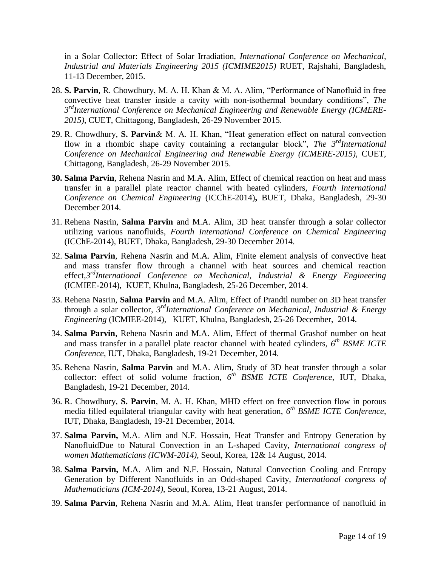in a Solar Collector: Effect of Solar Irradiation, *International Conference on Mechanical, Industrial and Materials Engineering 2015 (ICMIME2015)* RUET, Rajshahi, Bangladesh, 11-13 December, 2015.

- 28. **S. Parvin**, R. Chowdhury, M. A. H. Khan & M. A. Alim, "Performance of Nanofluid in free convective heat transfer inside a cavity with non-isothermal boundary conditions", *The 3 rdInternational Conference on Mechanical Engineering and Renewable Energy (ICMERE-2015)*, CUET, Chittagong, Bangladesh, 26-29 November 2015.
- 29. R. Chowdhury, **S. Parvin**& M. A. H. Khan, "Heat generation effect on natural convection flow in a rhombic shape cavity containing a rectangular block", *The 3<sup>rd</sup>International Conference on Mechanical Engineering and Renewable Energy (ICMERE-2015)*, CUET, Chittagong, Bangladesh, 26-29 November 2015.
- **30. Salma Parvin**, Rehena Nasrin and M.A. Alim, Effect of chemical reaction on heat and mass transfer in a parallel plate reactor channel with heated cylinders, *Fourth International Conference on Chemical Engineering* (ICChE-2014)**,** BUET, Dhaka, Bangladesh, 29-30 December 2014.
- 31. Rehena Nasrin, **Salma Parvin** and M.A. Alim, 3D heat transfer through a solar collector utilizing various nanofluids, *Fourth International Conference on Chemical Engineering*  (ICChE-2014), BUET, Dhaka, Bangladesh, 29-30 December 2014.
- 32. **Salma Parvin**, Rehena Nasrin and M.A. Alim, Finite element analysis of convective heat and mass transfer flow through a channel with heat sources and chemical reaction effect,*3 rdInternational Conference on Mechanical, Industrial & Energy Engineering* (ICMIEE-2014), KUET, Khulna, Bangladesh, 25-26 December, 2014.
- 33. Rehena Nasrin, **Salma Parvin** and M.A. Alim, Effect of Prandtl number on 3D heat transfer through a solar collector, *3 rdInternational Conference on Mechanical, Industrial & Energy Engineering* (ICMIEE-2014), KUET, Khulna, Bangladesh, 25-26 December, 2014.
- 34. **Salma Parvin**, Rehena Nasrin and M.A. Alim, Effect of thermal Grashof number on heat and mass transfer in a parallel plate reactor channel with heated cylinders,  $6<sup>th</sup>$  *BSME ICTE Conference*, IUT, Dhaka, Bangladesh, 19-21 December, 2014.
- 35. Rehena Nasrin, **Salma Parvin** and M.A. Alim, Study of 3D heat transfer through a solar collector: effect of solid volume fraction, *6 th BSME ICTE Conference*, IUT, Dhaka, Bangladesh, 19-21 December, 2014.
- 36. R. Chowdhury, **S. Parvin**, M. A. H. Khan, MHD effect on free convection flow in porous media filled equilateral triangular cavity with heat generation, *6 th BSME ICTE Conference*, IUT, Dhaka, Bangladesh, 19-21 December, 2014.
- 37. **Salma Parvin,** M.A. Alim and N.F. Hossain, Heat Transfer and Entropy Generation by NanofluidDue to Natural Convection in an L-shaped Cavity, *International congress of women Mathematicians (ICWM-2014),* Seoul, Korea, 12& 14 August, 2014.
- 38. **Salma Parvin,** M.A. Alim and N.F. Hossain, Natural Convection Cooling and Entropy Generation by Different Nanofluids in an Odd-shaped Cavity, *International congress of Mathematicians (ICM-2014)*, Seoul, Korea, 13-21 August, 2014.
- 39. **Salma Parvin**, Rehena Nasrin and M.A. Alim, Heat transfer performance of nanofluid in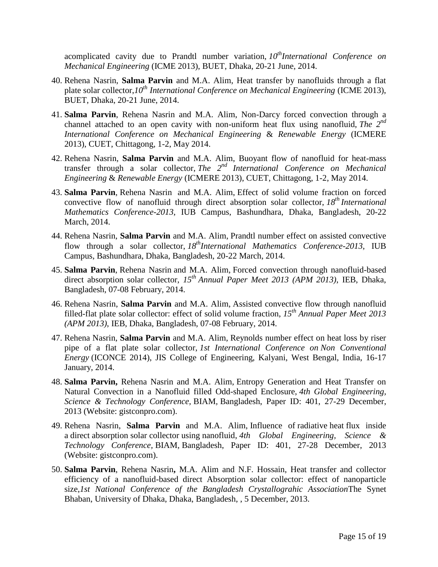acomplicated cavity due to Prandtl number variation, *10thInternational Conference on Mechanical Engineering* (ICME 2013), BUET, Dhaka, 20-21 June, 2014.

- 40. Rehena Nasrin, **Salma Parvin** and M.A. Alim, Heat transfer by nanofluids through a flat plate solar collector,*10th International Conference on Mechanical Engineering* (ICME 2013), BUET, Dhaka, 20-21 June, 2014.
- 41. **Salma Parvin**, Rehena Nasrin and M.A. Alim, Non-Darcy forced convection through a channel attached to an open cavity with non-uniform heat flux using nanofluid, *The 2nd International Conference on Mechanical Engineering* & *Renewable Energy* (ICMERE 2013), CUET, Chittagong, 1-2, May 2014.
- 42. Rehena Nasrin, **Salma Parvin** and M.A. Alim, Buoyant flow of nanofluid for heat-mass transfer through a solar collector, *The 2nd International Conference on Mechanical Engineering* & *Renewable Energy* (ICMERE 2013), CUET, Chittagong, 1-2, May 2014.
- 43. **Salma Parvin**, Rehena Nasrin and M.A. Alim, Effect of solid volume fraction on forced convective flow of nanofluid through direct absorption solar collector, *18th International Mathematics Conference-2013*, IUB Campus, Bashundhara, Dhaka, Bangladesh, 20-22 March, 2014.
- 44. Rehena Nasrin, **Salma Parvin** and M.A. Alim, Prandtl number effect on assisted convective flow through a solar collector, *18thInternational Mathematics Conference-2013*, IUB Campus, Bashundhara, Dhaka, Bangladesh, 20-22 March, 2014.
- 45. **Salma Parvin**, Rehena Nasrin and M.A. Alim, Forced convection through nanofluid-based direct absorption solar collector, *15th Annual Paper Meet 2013 (APM 2013)*, IEB, Dhaka, Bangladesh, 07-08 February, 2014.
- 46. Rehena Nasrin, **Salma Parvin** and M.A. Alim, Assisted convective flow through nanofluid filled-flat plate solar collector: effect of solid volume fraction, *15th Annual Paper Meet 2013 (APM 2013)*, IEB, Dhaka, Bangladesh, 07-08 February, 2014.
- 47. Rehena Nasrin, **Salma Parvin** and M.A. Alim, Reynolds number effect on heat loss by riser pipe of a flat plate solar collector, *1st International Conference on Non Conventional Energy* (ICONCE 2014), JIS College of Engineering, Kalyani, West Bengal, India, 16-17 January, 2014.
- 48. **Salma Parvin,** Rehena Nasrin and M.A. Alim, Entropy Generation and Heat Transfer on Natural Convection in a Nanofluid filled Odd-shaped Enclosure, *4th Global Engineering, Science & Technology Conference,* BIAM*,* Bangladesh, Paper ID: 401, 27-29 December, 2013 (Website: gistconpro.com).
- 49. Rehena Nasrin, **Salma Parvin** and M.A. Alim, Influence of radiative heat flux inside a direct absorption solar collector using nanofluid, *4th Global Engineering, Science & Technology Conference,* BIAM*,* Bangladesh, Paper ID: 401, 27-28 December, 2013 (Website: gistconpro.com).
- 50. **Salma Parvin**, Rehena Nasrin**,** M.A. Alim and N.F. Hossain, Heat transfer and collector efficiency of a nanofluid-based direct Absorption solar collector: effect of nanoparticle size,*1st National Conference of the Bangladesh Crystallograhic Association*The Synet Bhaban, University of Dhaka, Dhaka, Bangladesh, , 5 December, 2013.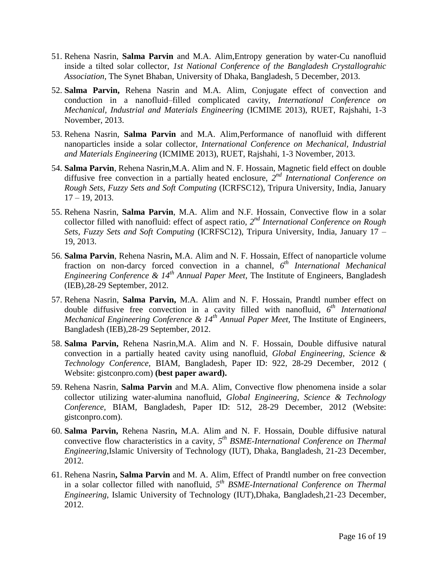- 51. Rehena Nasrin, **Salma Parvin** and M.A. Alim,Entropy generation by water-Cu nanofluid inside a tilted solar collector, *1st National Conference of the Bangladesh Crystallograhic Association*, The Synet Bhaban, University of Dhaka, Bangladesh, 5 December, 2013.
- 52. **Salma Parvin,** Rehena Nasrin and M.A. Alim, Conjugate effect of convection and conduction in a nanofluid–filled complicated cavity, *International Conference on Mechanical, Industrial and Materials Engineering* (ICMIME 2013), RUET, Rajshahi, 1-3 November, 2013.
- 53. Rehena Nasrin, **Salma Parvin** and M.A. Alim,Performance of nanofluid with different nanoparticles inside a solar collector, *International Conference on Mechanical, Industrial and Materials Engineering* (ICMIME 2013), RUET, Rajshahi, 1-3 November, 2013.
- 54. **Salma Parvin**, Rehena Nasrin,M.A. Alim and N. F. Hossain, Magnetic field effect on double diffusive free convection in a partially heated enclosure, 2<sup>nd</sup> International Conference on *Rough Sets, Fuzzy Sets and Soft Computing* (ICRFSC12), Tripura University, India, January  $17 - 19, 2013.$
- 55. Rehena Nasrin, **Salma Parvin**, M.A. Alim and N.F. Hossain, Convective flow in a solar collector filled with nanofluid: effect of aspect ratio, 2<sup>nd</sup> International Conference on Rough *Sets, Fuzzy Sets and Soft Computing* (ICRFSC12), Tripura University, India, January 17 – 19, 2013.
- 56. **Salma Parvin**, Rehena Nasrin**,** M.A. Alim and N. F. Hossain, Effect of nanoparticle volume fraction on non-darcy forced convection in a channel,  $6<sup>th</sup> International Mechanical$ *Engineering Conference & 14th Annual Paper Meet,* The Institute of Engineers, Bangladesh (IEB),28-29 September, 2012.
- 57. Rehena Nasrin, **Salma Parvin,** M.A. Alim and N. F. Hossain, Prandtl number effect on double diffusive free convection in a cavity filled with nanofluid, *6 th International Mechanical Engineering Conference & 14th Annual Paper Meet,* The Institute of Engineers, Bangladesh (IEB),28-29 September, 2012.
- 58. **Salma Parvin,** Rehena Nasrin,M.A. Alim and N. F. Hossain, Double diffusive natural convection in a partially heated cavity using nanofluid, *Global Engineering, Science & Technology Conference,* BIAM*,* Bangladesh, Paper ID: 922, 28-29 December, 2012 ( Website: gistconpro.com) **(best paper award).**
- 59. Rehena Nasrin, **Salma Parvin** and M.A. Alim, Convective flow phenomena inside a solar collector utilizing water-alumina nanofluid, *Global Engineering, Science & Technology Conference,* BIAM*,* Bangladesh, Paper ID: 512, 28-29 December, 2012 (Website: gistconpro.com).
- 60. **Salma Parvin,** Rehena Nasrin**,** M.A. Alim and N. F. Hossain, Double diffusive natural convective flow characteristics in a cavity, *5 th BSME-International Conference on Thermal Engineering,*Islamic University of Technology (IUT), Dhaka, Bangladesh, 21-23 December, 2012.
- 61. Rehena Nasrin**, Salma Parvin** and M. A. Alim, Effect of Prandtl number on free convection in a solar collector filled with nanofluid, *5 th BSME-International Conference on Thermal Engineering,* Islamic University of Technology (IUT),Dhaka, Bangladesh,21-23 December, 2012.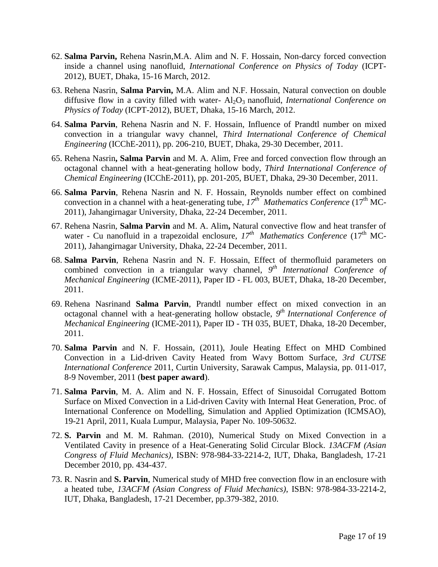- 62. **Salma Parvin,** Rehena Nasrin,M.A. Alim and N. F. Hossain, Non-darcy forced convection inside a channel using nanofluid, *International Conference on Physics of Today* (ICPT-2012), BUET, Dhaka, 15-16 March, 2012.
- 63. Rehena Nasrin, **Salma Parvin,** M.A. Alim and N.F. Hossain, Natural convection on double diffusive flow in a cavity filled with water- Al<sub>2</sub>O<sub>3</sub> nanofluid, *International Conference on Physics of Today* (ICPT-2012), BUET, Dhaka, 15-16 March, 2012.
- 64. **Salma Parvin**, Rehena Nasrin and N. F. Hossain, Influence of Prandtl number on mixed convection in a triangular wavy channel, *Third International Conference of Chemical Engineering* (ICChE-2011), pp. 206-210, BUET, Dhaka, 29-30 December, 2011.
- 65. Rehena Nasrin**, Salma Parvin** and M. A. Alim, Free and forced convection flow through an octagonal channel with a heat-generating hollow body, *Third International Conference of Chemical Engineering* (ICChE-2011), pp. 201-205, BUET, Dhaka, 29-30 December, 2011.
- 66. **Salma Parvin**, Rehena Nasrin and N. F. Hossain, Reynolds number effect on combined convection in a channel with a heat-generating tube,  $17^{th}$  *Mathematics Conference*  $(17^{th}$  MC-2011), Jahangirnagar University, Dhaka, 22-24 December, 2011.
- 67. Rehena Nasrin, **Salma Parvin** and M. A. Alim**,** Natural convective flow and heat transfer of water - Cu nanofluid in a trapezoidal enclosure,  $17^{th}$  *Mathematics Conference*  $(17^{th}$  MC-2011), Jahangirnagar University, Dhaka, 22-24 December, 2011.
- 68. **Salma Parvin**, Rehena Nasrin and N. F. Hossain, Effect of thermofluid parameters on combined convection in a triangular wavy channel,  $9<sup>th</sup> International Conference of$ *Mechanical Engineering* (ICME-2011), Paper ID - FL 003, BUET, Dhaka, 18-20 December, 2011.
- 69. Rehena Nasrinand **Salma Parvin**, Prandtl number effect on mixed convection in an octagonal channel with a heat-generating hollow obstacle, *9 th International Conference of Mechanical Engineering* (ICME-2011), Paper ID - TH 035, BUET, Dhaka, 18-20 December, 2011.
- 70. **Salma Parvin** and N. F. Hossain, (2011), Joule Heating Effect on MHD Combined Convection in a Lid-driven Cavity Heated from Wavy Bottom Surface, *3rd CUTSE International Conference* 2011, Curtin University, Sarawak Campus, Malaysia, pp. 011-017, 8-9 November, 2011 (**best paper award**).
- 71. **Salma Parvin**, M. A. Alim and N. F. Hossain, Effect of Sinusoidal Corrugated Bottom Surface on Mixed Convection in a Lid-driven Cavity with Internal Heat Generation, Proc. of International Conference on Modelling, Simulation and Applied Optimization (ICMSAO), 19-21 April, 2011, Kuala Lumpur, Malaysia, Paper No. 109-50632.
- 72. **S. Parvin** and M. M. Rahman. (2010), Numerical Study on Mixed Convection in a Ventilated Cavity in presence of a Heat-Generating Solid Circular Block. *13ACFM (Asian Congress of Fluid Mechanics)*, ISBN: 978-984-33-2214-2, IUT, Dhaka, Bangladesh, 17-21 December 2010, pp. 434-437.
- 73. R. Nasrin and **S. Parvin**, Numerical study of MHD free convection flow in an enclosure with a heated tube, *13ACFM (Asian Congress of Fluid Mechanics)*, ISBN: 978-984-33-2214-2, IUT, Dhaka, Bangladesh, 17-21 December, pp.379-382, 2010.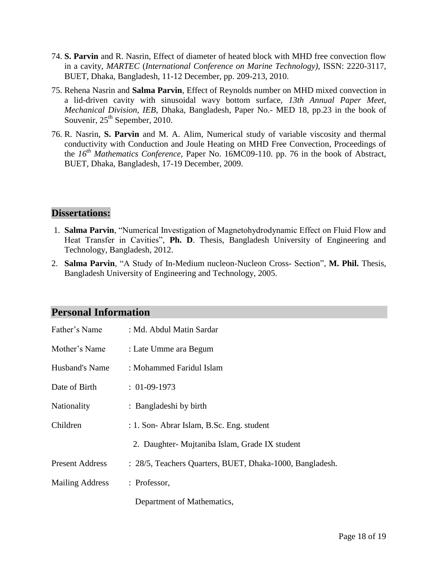- 74. **S. Parvin** and R. Nasrin, Effect of diameter of heated block with MHD free convection flow in a cavity, *MARTEC* (*International Conference on Marine Technology)*, ISSN: 2220-3117, BUET, Dhaka, Bangladesh, 11-12 December, pp. 209-213, 2010.
- 75. Rehena Nasrin and **Salma Parvin**, Effect of Reynolds number on MHD mixed convection in a lid-driven cavity with sinusoidal wavy bottom surface, *13th Annual Paper Meet*, *Mechanical Division*, *IEB*, Dhaka, Bangladesh, Paper No.- MED 18, pp.23 in the book of Souvenir,  $25<sup>th</sup>$  Sepember, 2010.
- 76. R. Nasrin, **S. Parvin** and M. A. Alim, Numerical study of variable viscosity and thermal conductivity with Conduction and Joule Heating on MHD Free Convection, Proceedings of the *16th Mathematics Conference,* Paper No. 16MC09-110. pp. 76 in the book of Abstract, BUET, Dhaka, Bangladesh, 17-19 December, 2009.

## **Dissertations:**

- 1. **Salma Parvin**, "Numerical Investigation of Magnetohydrodynamic Effect on Fluid Flow and Heat Transfer in Cavities", **Ph. D**. Thesis, Bangladesh University of Engineering and Technology, Bangladesh, 2012.
- 2. **Salma Parvin**, "A Study of In-Medium nucleon-Nucleon Cross- Section", **M. Phil.** Thesis, Bangladesh University of Engineering and Technology, 2005.

| т сгэбнаг нибтигасий   |                                                          |
|------------------------|----------------------------------------------------------|
| Father's Name          | : Md. Abdul Matin Sardar                                 |
| Mother's Name          | : Late Umme ara Begum                                    |
| Husband's Name         | : Mohammed Faridul Islam                                 |
| Date of Birth          | $: 01-09-1973$                                           |
| Nationality            | : Bangladeshi by birth                                   |
| Children               | : 1. Son-Abrar Islam, B.Sc. Eng. student                 |
|                        | 2. Daughter- Mujtaniba Islam, Grade IX student           |
| <b>Present Address</b> | : 28/5, Teachers Quarters, BUET, Dhaka-1000, Bangladesh. |
| <b>Mailing Address</b> | : Professor,                                             |
|                        | Department of Mathematics,                               |

## **Personal Information**